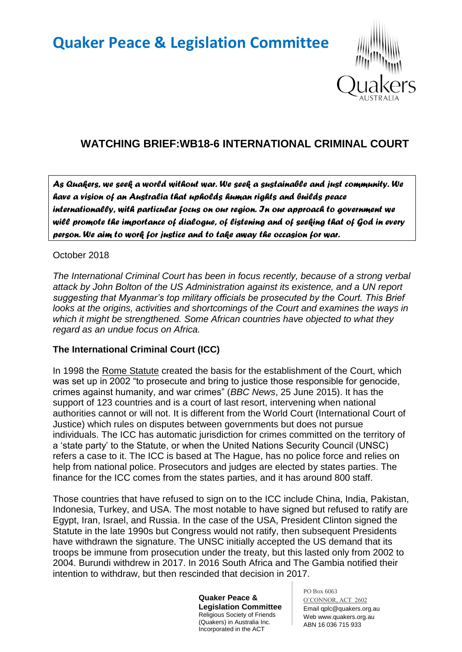# **Quaker Peace & Legislation Committee**



# **WATCHING BRIEF:WB18-6 INTERNATIONAL CRIMINAL COURT**

*As Quakers, we seek a world without war. We seek a sustainable and just community. We have a vision of an Australia that upholds human rights and builds peace internationally, with particular focus on our region. In our approach to government we will promote the importance of dialogue, of listening and of seeking that of God in every person. We aim to work for justice and to take away the occasion for war.* 

#### October 2018

*The International Criminal Court has been in focus recently, because of a strong verbal attack by John Bolton of the US Administration against its existence, and a UN report suggesting that Myanmar's top military officials be prosecuted by the Court. This Brief looks at the origins, activities and shortcomings of the Court and examines the ways in which it might be strengthened. Some African countries have objected to what they regard as an undue focus on Africa.*

## **The International Criminal Court (ICC)**

In 1998 the Rome Statute created the basis for the establishment of the Court, which was set up in 2002 "to prosecute and bring to justice those responsible for genocide, crimes against humanity, and war crimes" (*BBC News*, 25 June 2015). It has the support of 123 countries and is a court of last resort, intervening when national authorities cannot or will not. It is different from the World Court (International Court of Justice) which rules on disputes between governments but does not pursue individuals. The ICC has automatic jurisdiction for crimes committed on the territory of a "state party" to the Statute, or when the United Nations Security Council (UNSC) refers a case to it. The ICC is based at The Hague, has no police force and relies on help from national police. Prosecutors and judges are elected by states parties. The finance for the ICC comes from the states parties, and it has around 800 staff.

Those countries that have refused to sign on to the ICC include China, India, Pakistan, Indonesia, Turkey, and USA. The most notable to have signed but refused to ratify are Egypt, Iran, Israel, and Russia. In the case of the USA, President Clinton signed the Statute in the late 1990s but Congress would not ratify, then subsequent Presidents have withdrawn the signature. The UNSC initially accepted the US demand that its troops be immune from prosecution under the treaty, but this lasted only from 2002 to 2004. Burundi withdrew in 2017. In 2016 South Africa and The Gambia notified their intention to withdraw, but then rescinded that decision in 2017.

> **Quaker Peace & Legislation Committee** Religious Society of Friends (Quakers) in Australia Inc. Incorporated in the ACT

PO Box 6063 O'CONNOR, ACT 2602 Email qplc@quakers.org.au Web www.quakers.org.au ABN 16 036 715 933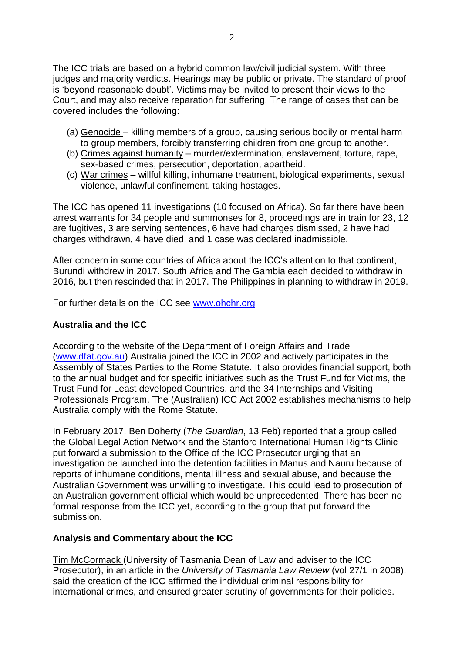The ICC trials are based on a hybrid common law/civil judicial system. With three judges and majority verdicts. Hearings may be public or private. The standard of proof is "beyond reasonable doubt". Victims may be invited to present their views to the Court, and may also receive reparation for suffering. The range of cases that can be covered includes the following:

- (a) Genocide killing members of a group, causing serious bodily or mental harm to group members, forcibly transferring children from one group to another.
- (b) Crimes against humanity murder/extermination, enslavement, torture, rape, sex-based crimes, persecution, deportation, apartheid.
- (c) War crimes willful killing, inhumane treatment, biological experiments, sexual violence, unlawful confinement, taking hostages.

The ICC has opened 11 investigations (10 focused on Africa). So far there have been arrest warrants for 34 people and summonses for 8, proceedings are in train for 23, 12 are fugitives, 3 are serving sentences, 6 have had charges dismissed, 2 have had charges withdrawn, 4 have died, and 1 case was declared inadmissible.

After concern in some countries of Africa about the ICC"s attention to that continent, Burundi withdrew in 2017. South Africa and The Gambia each decided to withdraw in 2016, but then rescinded that in 2017. The Philippines in planning to withdraw in 2019.

For further details on the ICC see [www.ohchr.org](http://www.ohchr.org/)

#### **Australia and the ICC**

According to the website of the Department of Foreign Affairs and Trade [\(www.dfat.gov.au\)](http://www.dfat.gov.au/) Australia joined the ICC in 2002 and actively participates in the Assembly of States Parties to the Rome Statute. It also provides financial support, both to the annual budget and for specific initiatives such as the Trust Fund for Victims, the Trust Fund for Least developed Countries, and the 34 Internships and Visiting Professionals Program. The (Australian) ICC Act 2002 establishes mechanisms to help Australia comply with the Rome Statute.

In February 2017, Ben Doherty (*The Guardian*, 13 Feb) reported that a group called the Global Legal Action Network and the Stanford International Human Rights Clinic put forward a submission to the Office of the ICC Prosecutor urging that an investigation be launched into the detention facilities in Manus and Nauru because of reports of inhumane conditions, mental illness and sexual abuse, and because the Australian Government was unwilling to investigate. This could lead to prosecution of an Australian government official which would be unprecedented. There has been no formal response from the ICC yet, according to the group that put forward the submission.

#### **Analysis and Commentary about the ICC**

Tim McCormack (University of Tasmania Dean of Law and adviser to the ICC Prosecutor), in an article in the *University of Tasmania Law Review* (vol 27/1 in 2008), said the creation of the ICC affirmed the individual criminal responsibility for international crimes, and ensured greater scrutiny of governments for their policies.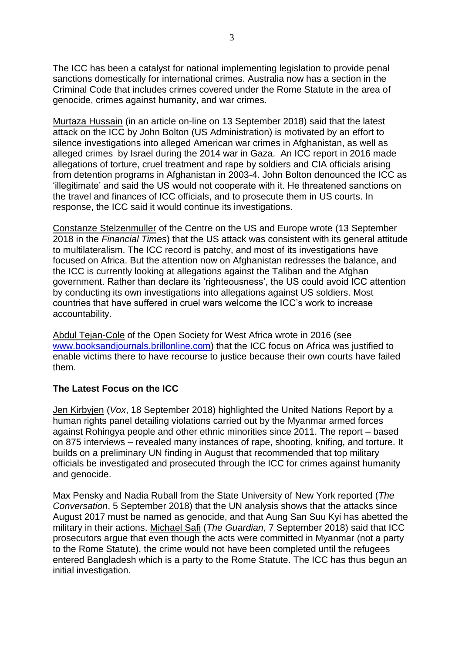The ICC has been a catalyst for national implementing legislation to provide penal sanctions domestically for international crimes. Australia now has a section in the Criminal Code that includes crimes covered under the Rome Statute in the area of genocide, crimes against humanity, and war crimes.

Murtaza Hussain (in an article on-line on 13 September 2018) said that the latest attack on the ICC by John Bolton (US Administration) is motivated by an effort to silence investigations into alleged American war crimes in Afghanistan, as well as alleged crimes by Israel during the 2014 war in Gaza. An ICC report in 2016 made allegations of torture, cruel treatment and rape by soldiers and CIA officials arising from detention programs in Afghanistan in 2003-4. John Bolton denounced the ICC as "illegitimate" and said the US would not cooperate with it. He threatened sanctions on the travel and finances of ICC officials, and to prosecute them in US courts. In response, the ICC said it would continue its investigations.

Constanze Stelzenmuller of the Centre on the US and Europe wrote (13 September 2018 in the *Financial Times*) that the US attack was consistent with its general attitude to multilateralism. The ICC record is patchy, and most of its investigations have focused on Africa. But the attention now on Afghanistan redresses the balance, and the ICC is currently looking at allegations against the Taliban and the Afghan government. Rather than declare its "righteousness", the US could avoid ICC attention by conducting its own investigations into allegations against US soldiers. Most countries that have suffered in cruel wars welcome the ICC"s work to increase accountability.

Abdul Tejan-Cole of the Open Society for West Africa wrote in 2016 (see www.booksandiournals.brillonline.com) that the ICC focus on Africa was justified to enable victims there to have recourse to justice because their own courts have failed them.

## **The Latest Focus on the ICC**

Jen Kirbyjen (*Vox*, 18 September 2018) highlighted the United Nations Report by a human rights panel detailing violations carried out by the Myanmar armed forces against Rohingya people and other ethnic minorities since 2011. The report – based on 875 interviews – revealed many instances of rape, shooting, knifing, and torture. It builds on a preliminary UN finding in August that recommended that top military officials be investigated and prosecuted through the ICC for crimes against humanity and genocide.

Max Pensky and Nadia Ruball from the State University of New York reported (*The Conversation*, 5 September 2018) that the UN analysis shows that the attacks since August 2017 must be named as genocide, and that Aung San Suu Kyi has abetted the military in their actions. Michael Safi (*The Guardian*, 7 September 2018) said that ICC prosecutors argue that even though the acts were committed in Myanmar (not a party to the Rome Statute), the crime would not have been completed until the refugees entered Bangladesh which is a party to the Rome Statute. The ICC has thus begun an initial investigation.